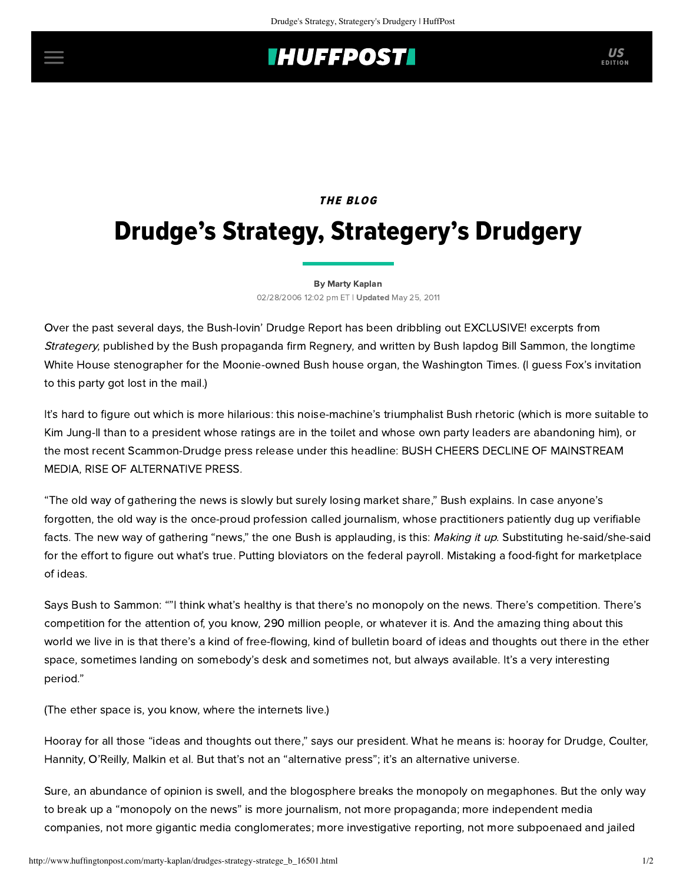## **IHUFFPOSTI** US

### **THE BLOG**

# Drudge's Strategy, Strategery's Drudgery

#### [By Marty Kaplan](http://www.huffingtonpost.com/author/marty-kaplan)

02/28/2006 12:02 pm ET | Updated May 25, 2011

Over the past several days, the Bush-lovin' Drudge Report has been dribbling out EXCLUSIVE! excerpts from Strategery, published by the Bush propaganda firm Regnery, and written by Bush lapdog Bill Sammon, the longtime White House stenographer for the Moonie-owned Bush house organ, the Washington Times. (I guess Fox's invitation to this party got lost in the mail.)

It's hard to figure out which is more hilarious: this noise-machine's triumphalist Bush rhetoric (which is more suitable to Kim Jung-Il than to a president whose ratings are in the toilet and whose own party leaders are abandoning him), or the most recent Scammon-Drudge press release under this headline: BUSH CHEERS DECLINE OF MAINSTREAM MEDIA, RISE OF ALTERNATIVE PRESS.

"The old way of gathering the news is slowly but surely losing market share," Bush explains. In case anyone's forgotten, the old way is the once-proud profession called journalism, whose practitioners patiently dug up verifiable facts. The new way of gathering "news," the one Bush is applauding, is this: Making it up. Substituting he-said/she-said for the effort to figure out what's true. Putting bloviators on the federal payroll. Mistaking a food-fight for marketplace of ideas.

Says Bush to Sammon: ""I think what's healthy is that there's no monopoly on the news. There's competition. There's competition for the attention of, you know, 290 million people, or whatever it is. And the amazing thing about this world we live in is that there's a kind of free-flowing, kind of bulletin board of ideas and thoughts out there in the ether space, sometimes landing on somebody's desk and sometimes not, but always available. It's a very interesting period."

(The ether space is, you know, where the internets live.)

Hooray for all those "ideas and thoughts out there," says our president. What he means is: hooray for Drudge, Coulter, Hannity, O'Reilly, Malkin et al. But that's not an "alternative press"; it's an alternative universe.

Sure, an abundance of opinion is swell, and the blogosphere breaks the monopoly on megaphones. But the only way to break up a "monopoly on the news" is more journalism, not more propaganda; more independent media companies, not more gigantic media conglomerates; more investigative reporting, not more subpoenaed and jailed